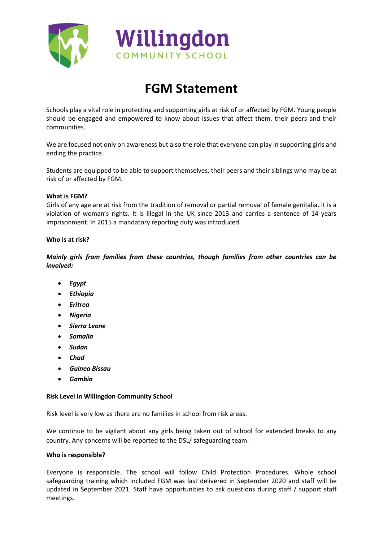



# **FGM Statement**

Schools play a vital role in protecting and supporting girls at risk of or affected by FGM. Young people should be engaged and empowered to know about issues that affect them, their peers and their communities.

We are focused not only on awareness but also the role that everyone can play in supporting girls and ending the practice.

Students are equipped to be able to support themselves, their peers and their siblings who may be at risk of or affected by FGM.

## **What is FGM?**

Girls of any age are at risk from the tradition of removal or partial removal of female genitalia. It is a violation of woman's rights. It is illegal in the UK since 2013 and carries a sentence of 14 years imprisonment. In 2015 a mandatory reporting duty was introduced.

## **Who is at risk?**

*Mainly girls from families from these countries, though families from other countries can be involved:* 

- *Egypt*
- *Ethiopia*
- *Eritrea*
- *Nigeria*
- *Sierra Leone*
- *Somalia*
- *Sudan*
- *Chad*
- *Guinea Bissau*
- *Gambia*

#### **Risk Level in Willingdon Community School**

Risk level is very low as there are no families in school from risk areas.

We continue to be vigilant about any girls being taken out of school for extended breaks to any country. Any concerns will be reported to the DSL/ safeguarding team.

#### **Who is responsible?**

Everyone is responsible. The school will follow Child Protection Procedures. Whole school safeguarding training which included FGM was last delivered in September 2020 and staff will be updated in September 2021. Staff have opportunities to ask questions during staff / support staff meetings.